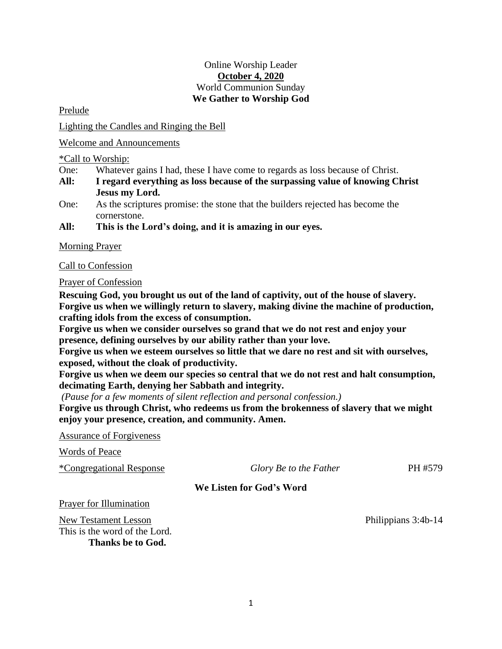## Online Worship Leader **October 4, 2020** World Communion Sunday **We Gather to Worship God**

Prelude

Lighting the Candles and Ringing the Bell

Welcome and Announcements

\*Call to Worship:

- One: Whatever gains I had, these I have come to regards as loss because of Christ.
- **All: I regard everything as loss because of the surpassing value of knowing Christ Jesus my Lord.**
- One: As the scriptures promise: the stone that the builders rejected has become the cornerstone.
- **All: This is the Lord's doing, and it is amazing in our eyes.**

Morning Prayer

Call to Confession

Prayer of Confession

**Rescuing God, you brought us out of the land of captivity, out of the house of slavery. Forgive us when we willingly return to slavery, making divine the machine of production, crafting idols from the excess of consumption.** 

**Forgive us when we consider ourselves so grand that we do not rest and enjoy your presence, defining ourselves by our ability rather than your love.** 

**Forgive us when we esteem ourselves so little that we dare no rest and sit with ourselves, exposed, without the cloak of productivity.** 

**Forgive us when we deem our species so central that we do not rest and halt consumption, decimating Earth, denying her Sabbath and integrity.** 

*(Pause for a few moments of silent reflection and personal confession.)*

**Forgive us through Christ, who redeems us from the brokenness of slavery that we might enjoy your presence, creation, and community. Amen.**

Assurance of Forgiveness

Words of Peace

\*Congregational Response *Glory Be to the Father* PH #579

**We Listen for God's Word**

Prayer for Illumination

New Testament Lesson Philippians 3:4b-14 This is the word of the Lord. **Thanks be to God.**